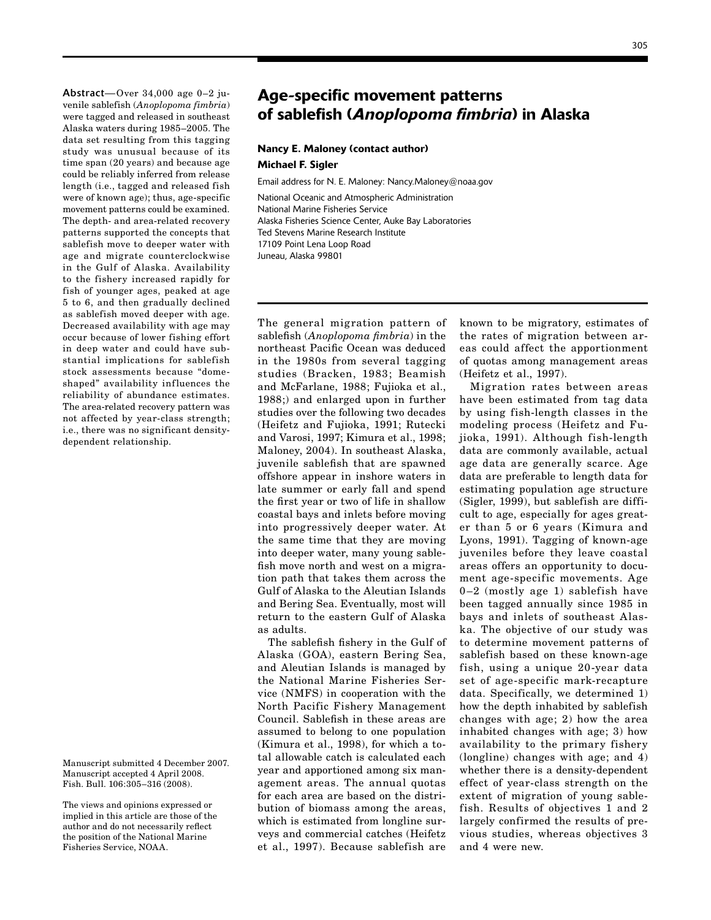Abstract—Over 34,000 age 0–2 juvenile sablefish (*Anoplopoma fimbria*) were tagged and released in southeast Alaska waters during 1985–2005. The data set resulting from this tagging study was unusual because of its time span (20 years) and because age could be reliably inferred from release length (i.e., tagged and released fish were of known age); thus, age-specific movement patterns could be examined. The depth- and area-related recovery patterns supported the concepts that sablefish move to deeper water with age and migrate counterclockwise in the Gulf of Alaska. Availability to the fishery increased rapidly for fish of younger ages, peaked at age 5 to 6, and then gradually declined as sablefish moved deeper with age. Decreased availability with age may occur because of lower fishing effort in deep water and could have substantial implications for sablefish stock assessments because "domeshaped" availability influences the reliability of abundance estimates. The area-related recovery pattern was not affected by year-class strength; i.e., there was no significant densitydependent relationship.

Manuscript submitted 4 December 2007. Manuscript accepted 4 April 2008. Fish. Bull. 106:305–316 (2008).

The views and opinions expressed or implied in this article are those of the author and do not necessarily reflect the position of the National Marine Fisheries Service, NOAA.

# Age-specific movement patterns of sablefish (*Anoplopoma fimbria*) in Alaska

## Nancy E. Maloney (contact author) Michael F. Sigler

Email address for N. E. Maloney: Nancy.Maloney@noaa.gov

National Oceanic and Atmospheric Administration National Marine Fisheries Service Alaska Fisheries Science Center, Auke Bay Laboratories Ted Stevens Marine Research Institute 17109 Point Lena Loop Road Juneau, Alaska 99801

The general migration pattern of sablefish (*Anoplopoma fimbria*) in the northeast Pacific Ocean was deduced in the 1980s from several tagging studies (Bracken, 1983; Beamish and McFarlane, 1988; Fujioka et al., 1988;) and enlarged upon in further studies over the following two decades (Heifetz and Fujioka, 1991; Rutecki and Varosi, 1997; Kimura et al., 1998; Maloney, 2004). In southeast Alaska, juvenile sablefish that are spawned offshore appear in inshore waters in late summer or early fall and spend the first year or two of life in shallow coastal bays and inlets before moving into progressively deeper water. At the same time that they are moving into deeper water, many young sablefish move north and west on a migration path that takes them across the Gulf of Alaska to the Aleutian Islands and Bering Sea. Eventually, most will return to the eastern Gulf of Alaska as adults.

The sablefish fishery in the Gulf of Alaska (GOA), eastern Bering Sea, and Aleutian Islands is managed by the National Marine Fisheries Service (NMFS) in cooperation with the North Pacific Fishery Management Council. Sablefish in these areas are assumed to belong to one population (Kimura et al., 1998), for which a total allowable catch is calculated each year and apportioned among six management areas. The annual quotas for each area are based on the distribution of biomass among the areas, which is estimated from longline surveys and commercial catches (Heifetz et al., 1997). Because sablefish are

known to be migratory, estimates of the rates of migration between areas could affect the apportionment of quotas among management areas (Heifetz et al., 1997).

Migration rates between areas have been estimated from tag data by using fish-length classes in the modeling process (Heifetz and Fujioka, 1991). Although fish-length data are commonly available, actual age data are generally scarce. Age data are preferable to length data for estimating population age structure (Sigler, 1999), but sablefish are difficult to age, especially for ages greater than 5 or 6 years (Kimura and Lyons, 1991). Tagging of known-age juveniles before they leave coastal areas offers an opportunity to document age-specific movements. Age 0–2 (mostly age 1) sablefish have been tagged annually since 1985 in bays and inlets of southeast Alaska. The objective of our study was to determine movement patterns of sablefish based on these known-age fish, using a unique 20-year data set of age-specific mark-recapture data. Specifically, we determined 1) how the depth inhabited by sablefish changes with age; 2) how the area inhabited changes with age; 3) how availability to the primary fishery (longline) changes with age; and 4) whether there is a density-dependent effect of year-class strength on the extent of migration of young sablefish. Results of objectives 1 and 2 largely confirmed the results of previous studies, whereas objectives 3 and 4 were new.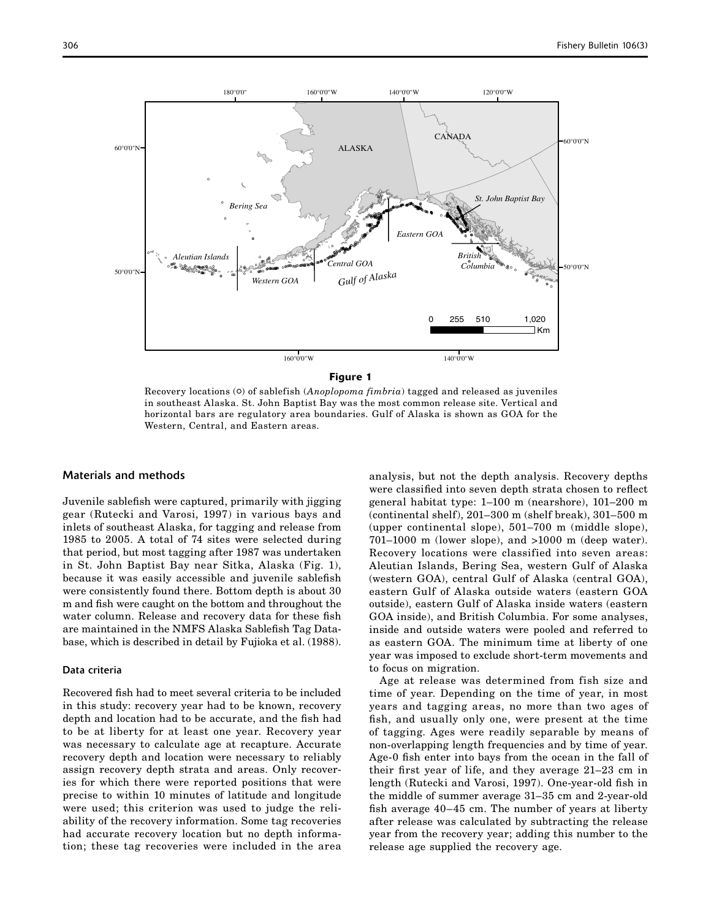

#### Figure 1

Recovery locations ( $\circ$ ) of sablefish (*Anoplopoma fimbria*) tagged and released as juveniles in southeast Alaska. St. John Baptist Bay was the most common release site. Vertical and horizontal bars are regulatory area boundaries. Gulf of Alaska is shown as GOA for the Western, Central, and Eastern areas.

### Materials and methods

Juvenile sablefish were captured, primarily with jigging gear (Rutecki and Varosi, 1997) in various bays and inlets of southeast Alaska, for tagging and release from 1985 to 2005. A total of 74 sites were selected during that period, but most tagging after 1987 was undertaken in St. John Baptist Bay near Sitka, Alaska (Fig. 1), because it was easily accessible and juvenile sablefish were consistently found there. Bottom depth is about 30 m and fish were caught on the bottom and throughout the water column. Release and recovery data for these fish are maintained in the NMFS Alaska Sablefish Tag Database, which is described in detail by Fujioka et al. (1988).

### Data criteria

Recovered fish had to meet several criteria to be included in this study: recovery year had to be known, recovery depth and location had to be accurate, and the fish had to be at liberty for at least one year. Recovery year was necessary to calculate age at recapture. Accurate recovery depth and location were necessary to reliably assign recovery depth strata and areas. Only recoveries for which there were reported positions that were precise to within 10 minutes of latitude and longitude were used; this criterion was used to judge the reliability of the recovery information. Some tag recoveries had accurate recovery location but no depth information; these tag recoveries were included in the area

analysis, but not the depth analysis. Recovery depths were classified into seven depth strata chosen to reflect general habitat type: 1–100 m (nearshore), 101–200 m (continental shelf), 201–300 m (shelf break), 301–500 m (upper continental slope), 501–700 m (middle slope), 701–1000 m (lower slope), and >1000 m (deep water). Recovery locations were classified into seven areas: Aleutian Islands, Bering Sea, western Gulf of Alaska (western GOA), central Gulf of Alaska (central GOA), eastern Gulf of Alaska outside waters (eastern GOA outside), eastern Gulf of Alaska inside waters (eastern GOA inside), and British Columbia. For some analyses, inside and outside waters were pooled and referred to as eastern GOA. The minimum time at liberty of one year was imposed to exclude short-term movements and to focus on migration.

Age at release was determined from fish size and time of year. Depending on the time of year, in most years and tagging areas, no more than two ages of fish, and usually only one, were present at the time of tagging. Ages were readily separable by means of non-overlapping length frequencies and by time of year. Age-0 fish enter into bays from the ocean in the fall of their first year of life, and they average 21–23 cm in length (Rutecki and Varosi, 1997). One-year-old fish in the middle of summer average 31–35 cm and 2-year-old fish average 40–45 cm. The number of years at liberty after release was calculated by subtracting the release year from the recovery year; adding this number to the release age supplied the recovery age.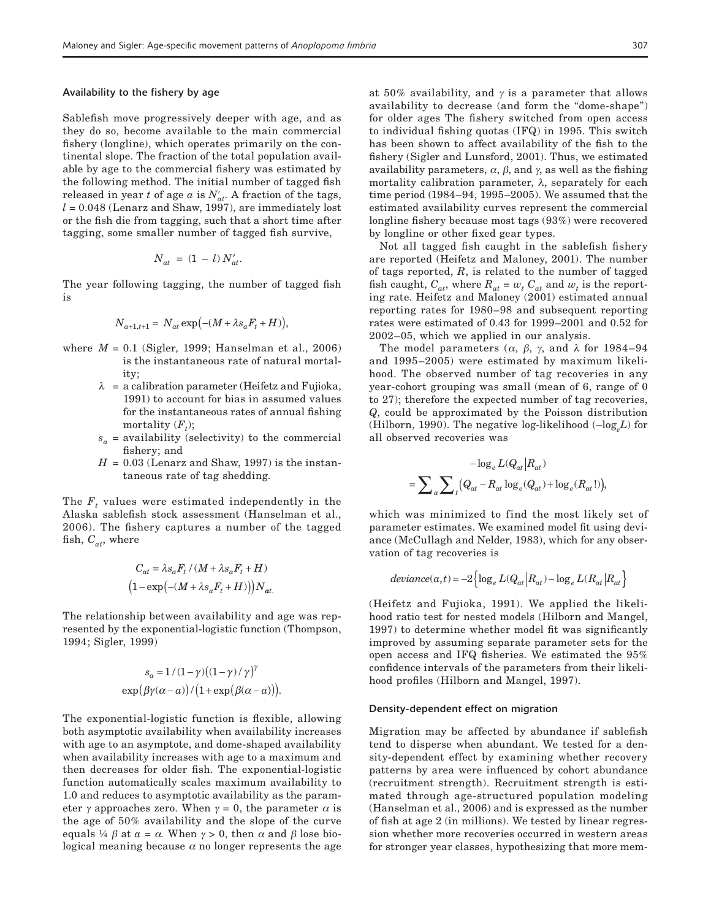#### Availability to the fishery by age

Sablefish move progressively deeper with age, and as they do so, become available to the main commercial fishery (longline), which operates primarily on the continental slope. The fraction of the total population available by age to the commercial fishery was estimated by the following method. The initial number of tagged fish released in year *t* of age  $a$  is  $N'_{at}$ . A fraction of the tags,  $l = 0.048$  (Lenarz and Shaw, 1997), are immediately lost or the fish die from tagging, such that a short time after tagging, some smaller number of tagged fish survive,

$$
N_{at} = (1 - l) N'_{at}.
$$

The year following tagging, the number of tagged fish is

$$
N_{a+1,t+1} = N_{at} \exp(-(M + \lambda s_a F_t + H)),
$$

- where *M* = 0.1 (Sigler, 1999; Hanselman et al., 2006) is the instantaneous rate of natural mortality;
	- $\lambda$  = a calibration parameter (Heifetz and Fujioka, 1991) to account for bias in assumed values for the instantaneous rates of annual fishing mortality  $(F_t)$ ;
	- $s_a$  = availability (selectivity) to the commercial fishery; and
	- $H = 0.03$  (Lenarz and Shaw, 1997) is the instantaneous rate of tag shedding.

The  $F_t$  values were estimated independently in the Alaska sablefish stock assessment (Hanselman et al., 2006). The fishery captures a number of the tagged fish,  $C_{at}$ , where

$$
C_{at} = \lambda s_a F_t / (M + \lambda s_a F_t + H)
$$

$$
(1 - \exp(-(M + \lambda s_a F_t + H))) N_{at.}
$$

The relationship between availability and age was represented by the exponential-logistic function (Thompson, 1994; Sigler, 1999)

$$
s_a = 1/(1-\gamma)((1-\gamma)/\gamma)^{\gamma}
$$
  
exp $(\beta\gamma(\alpha - a))/(1 + \exp(\beta(\alpha - a))).$ 

The exponential-logistic function is flexible, allowing both asymptotic availability when availability increases with age to an asymptote, and dome-shaped availability when availability increases with age to a maximum and then decreases for older fish. The exponential-logistic function automatically scales maximum availability to 1.0 and reduces to asymptotic availability as the parameter  $\gamma$  approaches zero. When  $\gamma = 0$ , the parameter  $\alpha$  is the age of 50% availability and the slope of the curve equals ¼  $\beta$  at  $\alpha = \alpha$ . When  $\gamma > 0$ , then  $\alpha$  and  $\beta$  lose biological meaning because  $\alpha$  no longer represents the age

at 50% availability, and  $\gamma$  is a parameter that allows availability to decrease (and form the "dome-shape") for older ages The fishery switched from open access to individual fishing quotas (IFQ) in 1995. This switch has been shown to affect availability of the fish to the fishery (Sigler and Lunsford, 2001). Thus, we estimated availability parameters,  $\alpha$ ,  $\beta$ , and  $\gamma$ , as well as the fishing mortality calibration parameter, λ, separately for each time period (1984–94, 1995–2005). We assumed that the estimated availability curves represent the commercial longline fishery because most tags (93%) were recovered by longline or other fixed gear types.

Not all tagged fish caught in the sablefish fishery are reported (Heifetz and Maloney, 2001). The number of tags reported, *R*, is related to the number of tagged fish caught,  $C_{at}$ , where  $R_{at} = w_t C_{at}$  and  $w_t$  is the reporting rate. Heifetz and Maloney (2001) estimated annual reporting rates for 1980–98 and subsequent reporting rates were estimated of 0.43 for 1999–2001 and 0.52 for 2002–05, which we applied in our analysis.

The model parameters ( $\alpha$ ,  $\beta$ ,  $\gamma$ , and  $\lambda$  for 1984–94 and 1995–2005) were estimated by maximum likelihood. The observed number of tag recoveries in any year-cohort grouping was small (mean of 6, range of 0 to 27); therefore the expected number of tag recoveries, *Q*, could be approximated by the Poisson distribution (Hilborn, 1990). The negative log-likelihood  $(-\log L)$  for all observed recoveries was

$$
-\log_e L(Q_{at}|R_{at})
$$

$$
= \sum_a \sum_t (Q_{at} - R_{at} \log_e(Q_{at}) + \log_e(R_{at}!)),
$$

which was minimized to find the most likely set of parameter estimates. We examined model fit using deviance (McCullagh and Nelder, 1983), which for any observation of tag recoveries is

$$
deviance(a,t) = -2 \left\{ \log_e L(Q_{at} | R_{at}) - \log_e L(R_{at} | R_{at}) \right\}
$$

(Heifetz and Fujioka, 1991). We applied the likelihood ratio test for nested models (Hilborn and Mangel, 1997) to determine whether model fit was significantly improved by assuming separate parameter sets for the open access and IFQ fisheries. We estimated the 95% confidence intervals of the parameters from their likelihood profiles (Hilborn and Mangel, 1997).

#### Density-dependent effect on migration

Migration may be affected by abundance if sablefish tend to disperse when abundant. We tested for a density-dependent effect by examining whether recovery patterns by area were influenced by cohort abundance (recruitment strength). Recruitment strength is estimated through age-structured population modeling (Hanselman et al., 2006) and is expressed as the number of fish at age 2 (in millions). We tested by linear regression whether more recoveries occurred in western areas for stronger year classes, hypothesizing that more mem-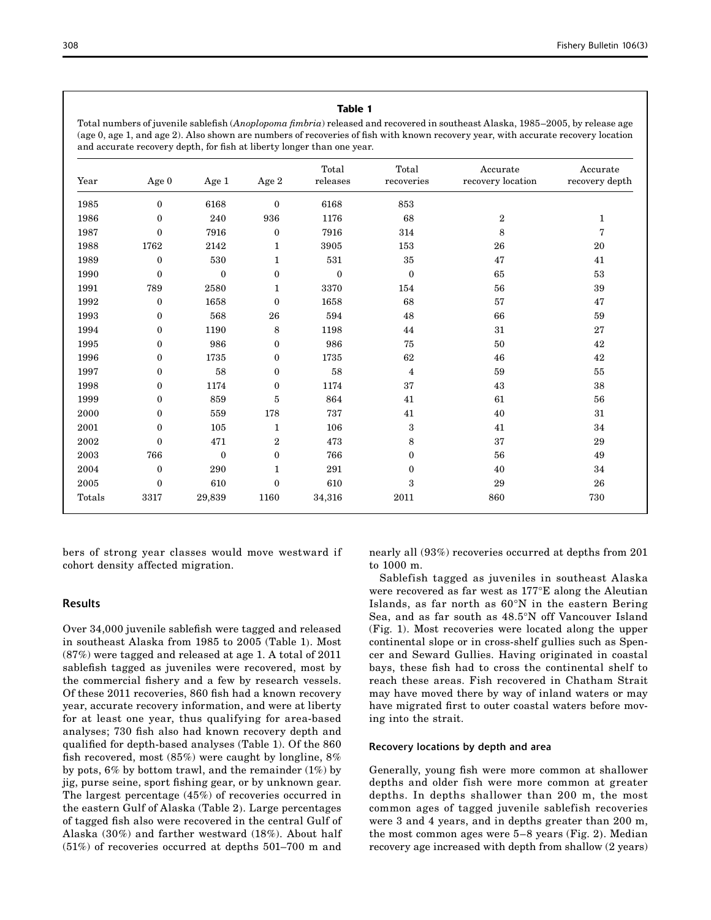### Table 1

Total numbers of juvenile sablefish (*Anoplopoma fimbria*) released and recovered in southeast Alaska, 1985–2005, by release age (age 0, age 1, and age 2). Also shown are numbers of recoveries of fish with known recovery year, with accurate recovery location and accurate recovery depth, for fish at liberty longer than one year.

| Year                | Age 0            | Age 1            | Age 2            | Total<br>releases | Total<br>${\tt recoveries}$ | Accurate<br>recovery location | Accurate<br>recovery depth |
|---------------------|------------------|------------------|------------------|-------------------|-----------------------------|-------------------------------|----------------------------|
| 1985                | $\mathbf{0}$     | 6168             | $\overline{0}$   | 6168              | 853                         |                               |                            |
| 1986                | $\mathbf{0}$     | 240              | 936              | 1176              | 68                          | $\boldsymbol{2}$              | $\mathbf{1}$               |
| 1987                | $\mathbf{0}$     | 7916             | $\boldsymbol{0}$ | 7916              | 314                         | 8                             | 7                          |
| 1988                | 1762             | 2142             | 1                | 3905              | 153                         | 26                            | 20                         |
| 1989                | $\mathbf{0}$     | 530              | 1                | 531               | 35                          | 47                            | 41                         |
| 1990                | $\mathbf{0}$     | $\boldsymbol{0}$ | $\boldsymbol{0}$ | $\boldsymbol{0}$  | $\boldsymbol{0}$            | 65                            | 53                         |
| 1991                | 789              | 2580             | $\mathbf{1}$     | 3370              | 154                         | 56                            | $\bf{39}$                  |
| 1992                | $\bf{0}$         | 1658             | $\boldsymbol{0}$ | 1658              | 68                          | 57                            | 47                         |
| 1993                | $\boldsymbol{0}$ | 568              | 26               | 594               | 48                          | 66                            | 59                         |
| 1994                | $\mathbf{0}$     | 1190             | 8                | 1198              | 44                          | 31                            | 27                         |
| 1995                | $\mathbf{0}$     | 986              | $\overline{0}$   | 986               | 75                          | 50                            | $42\,$                     |
| 1996                | $\mathbf{0}$     | 1735             | $\boldsymbol{0}$ | 1735              | 62                          | 46                            | 42                         |
| 1997                | $\mathbf{0}$     | 58               | 0                | 58                | $\overline{4}$              | 59                            | 55                         |
| 1998                | $\mathbf{0}$     | 1174             | $\overline{0}$   | 1174              | 37                          | 43                            | 38                         |
| 1999                | $\mathbf{0}$     | 859              | 5                | 864               | 41                          | 61                            | 56                         |
| 2000                | $\mathbf{0}$     | 559              | 178              | 737               | 41                          | 40                            | 31                         |
| 2001                | $\mathbf{0}$     | 105              | $\mathbf{1}$     | 106               | 3                           | 41                            | 34                         |
| 2002                | $\mathbf{0}$     | 471              | $\boldsymbol{2}$ | 473               | 8                           | 37                            | $\bf 29$                   |
| 2003                | 766              | $\boldsymbol{0}$ | $\boldsymbol{0}$ | 766               | $\mathbf{0}$                | 56                            | 49                         |
| 2004                | $\mathbf{0}$     | 290              | $\mathbf{1}$     | $\bf 291$         | $\bf{0}$                    | 40                            | 34                         |
| $\boldsymbol{2005}$ | $\mathbf{0}$     | 610              | $\overline{0}$   | 610               | 3                           | 29                            | ${\bf 26}$                 |
| Totals              | 3317             | 29,839           | 1160             | 34,316            | $\bf 2011$                  | 860                           | 730                        |

bers of strong year classes would move westward if cohort density affected migration.

### Results

Over 34,000 juvenile sablefish were tagged and released in southeast Alaska from 1985 to 2005 (Table 1). Most (87%) were tagged and released at age 1. A total of 2011 sablefish tagged as juveniles were recovered, most by the commercial fishery and a few by research vessels. Of these 2011 recoveries, 860 fish had a known recovery year, accurate recovery information, and were at liberty for at least one year, thus qualifying for area-based analyses; 730 fish also had known recovery depth and qualified for depth-based analyses (Table 1). Of the 860 fish recovered, most (85%) were caught by longline, 8% by pots, 6% by bottom trawl, and the remainder (1%) by jig, purse seine, sport fishing gear, or by unknown gear. The largest percentage (45%) of recoveries occurred in the eastern Gulf of Alaska (Table 2). Large percentages of tagged fish also were recovered in the central Gulf of Alaska (30%) and farther westward (18%). About half (51%) of recoveries occurred at depths 501–700 m and

nearly all (93%) recoveries occurred at depths from 201 to 1000 m.

Sablefish tagged as juveniles in southeast Alaska were recovered as far west as 177°E along the Aleutian Islands, as far north as 60°N in the eastern Bering Sea, and as far south as 48.5°N off Vancouver Island (Fig. 1). Most recoveries were located along the upper continental slope or in cross-shelf gullies such as Spencer and Seward Gullies. Having originated in coastal bays, these fish had to cross the continental shelf to reach these areas. Fish recovered in Chatham Strait may have moved there by way of inland waters or may have migrated first to outer coastal waters before moving into the strait.

#### Recovery locations by depth and area

Generally, young fish were more common at shallower depths and older fish were more common at greater depths. In depths shallower than 200 m, the most common ages of tagged juvenile sablefish recoveries were 3 and 4 years, and in depths greater than 200 m, the most common ages were 5–8 years (Fig. 2). Median recovery age increased with depth from shallow (2 years)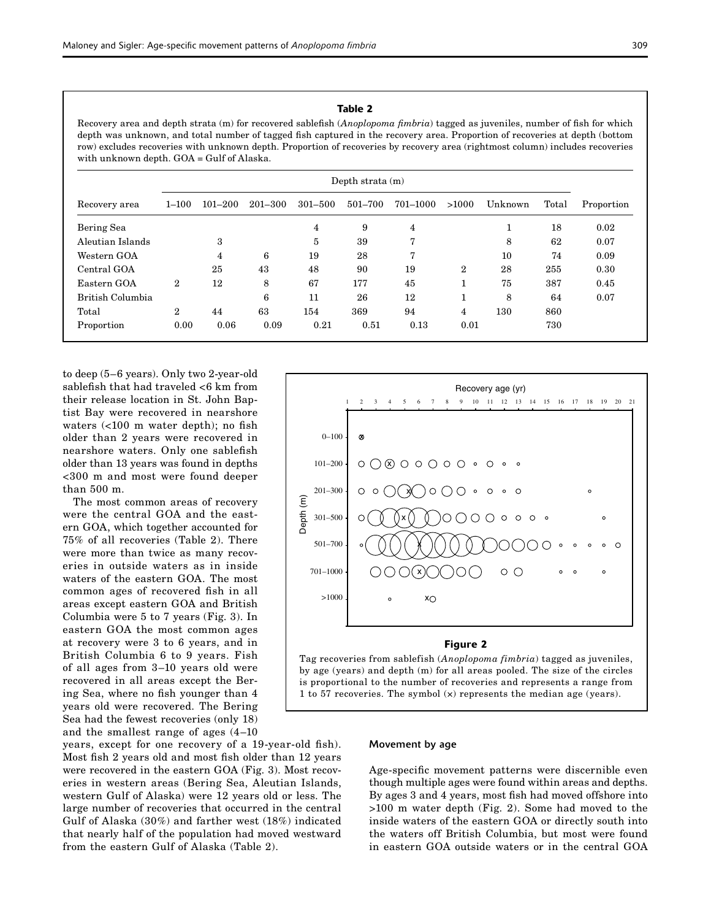### Table 2

Recovery area and depth strata (m) for recovered sablefish (*Anoplopoma fimbria*) tagged as juveniles, number of fish for which depth was unknown, and total number of tagged fish captured in the recovery area. Proportion of recoveries at depth (bottom row) excludes recoveries with unknown depth. Proportion of recoveries by recovery area (rightmost column) includes recoveries with unknown depth. GOA = Gulf of Alaska.

|                  | Depth strata $(m)$ |             |             |             |         |          |                |         |       |            |
|------------------|--------------------|-------------|-------------|-------------|---------|----------|----------------|---------|-------|------------|
| Recovery area    | $1 - 100$          | $101 - 200$ | $201 - 300$ | $301 - 500$ | 501-700 | 701–1000 | >1000          | Unknown | Total | Proportion |
| Bering Sea       |                    |             |             | 4           | 9       | 4        |                | ᆂ       | 18    | 0.02       |
| Aleutian Islands |                    | 3           |             | 5           | 39      | 7        |                | 8       | 62    | 0.07       |
| Western GOA      |                    | 4           | 6           | 19          | 28      | 7        |                | 10      | 74    | 0.09       |
| Central GOA      |                    | 25          | 43          | 48          | 90      | 19       | $\overline{2}$ | 28      | 255   | 0.30       |
| Eastern GOA      | $\overline{2}$     | 12          | 8           | 67          | 177     | 45       |                | 75      | 387   | 0.45       |
| British Columbia |                    |             | 6           | 11          | 26      | 12       |                | 8       | 64    | 0.07       |
| Total            | $\overline{2}$     | 44          | 63          | 154         | 369     | 94       | 4              | 130     | 860   |            |
| Proportion       | 0.00               | 0.06        | 0.09        | 0.21        | 0.51    | 0.13     | 0.01           |         | 730   |            |

to deep (5–6 years). Only two 2-year-old sablefish that had traveled <6 km from their release location in St. John Baptist Bay were recovered in nearshore waters (<100 m water depth); no fish older than 2 years were recovered in nearshore waters. Only one sablefish older than 13 years was found in depths <300 m and most were found deeper than 500 m.

The most common areas of recovery were the central GOA and the eastern GOA, which together accounted for 75% of all recoveries (Table 2). There were more than twice as many recoveries in outside waters as in inside waters of the eastern GOA. The most common ages of recovered fish in all areas except eastern GOA and British Columbia were 5 to 7 years (Fig. 3). In eastern GOA the most common ages at recovery were 3 to 6 years, and in British Columbia 6 to 9 years. Fish of all ages from 3–10 years old were recovered in all areas except the Bering Sea, where no fish younger than 4 years old were recovered. The Bering Sea had the fewest recoveries (only 18) and the smallest range of ages (4–10

years, except for one recovery of a 19-year-old fish). Most fish 2 years old and most fish older than 12 years were recovered in the eastern GOA (Fig. 3). Most recoveries in western areas (Bering Sea, Aleutian Islands, western Gulf of Alaska) were 12 years old or less. The large number of recoveries that occurred in the central Gulf of Alaska (30%) and farther west (18%) indicated that nearly half of the population had moved westward from the eastern Gulf of Alaska (Table 2).



### Figure 2

Tag recoveries from sablefish (*Anoplopoma fimbria*) tagged as juveniles, by age (years) and depth (m) for all areas pooled. The size of the circles is proportional to the number of recoveries and represents a range from 1 to 57 recoveries. The symbol (×) represents the median age (years).

#### Movement by age

Age-specific movement patterns were discernible even though multiple ages were found within areas and depths. By ages 3 and 4 years, most fish had moved offshore into >100 m water depth (Fig. 2). Some had moved to the inside waters of the eastern GOA or directly south into the waters off British Columbia, but most were found in eastern GOA outside waters or in the central GOA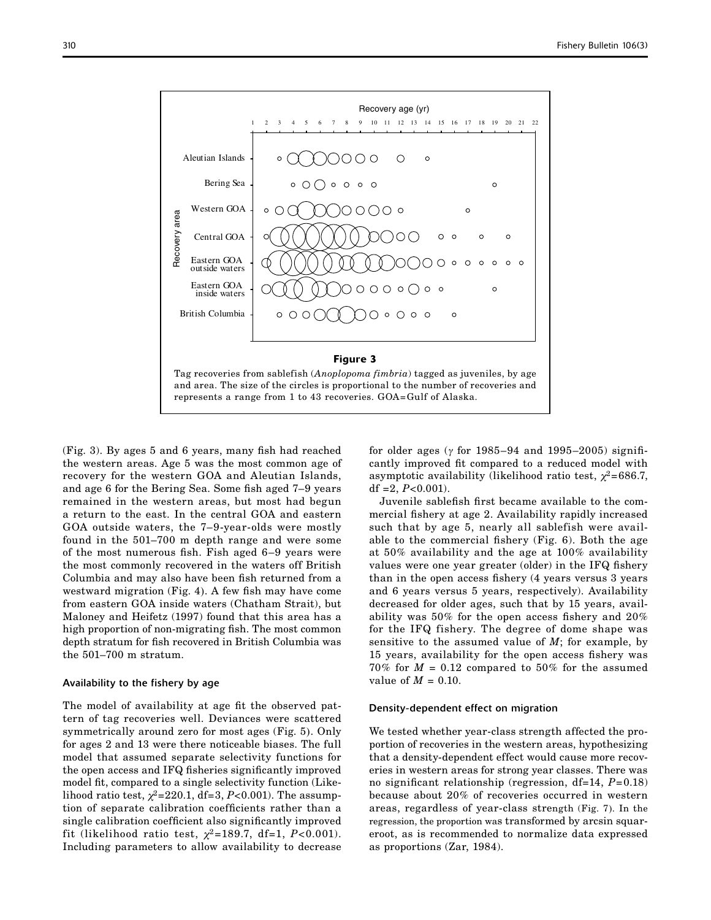

(Fig. 3). By ages 5 and 6 years, many fish had reached the western areas. Age 5 was the most common age of recovery for the western GOA and Aleutian Islands, and age 6 for the Bering Sea. Some fish aged 7–9 years remained in the western areas, but most had begun a return to the east. In the central GOA and eastern GOA outside waters, the 7–9-year-olds were mostly found in the 501–700 m depth range and were some of the most numerous fish. Fish aged 6–9 years were the most commonly recovered in the waters off British Columbia and may also have been fish returned from a westward migration (Fig. 4). A few fish may have come from eastern GOA inside waters (Chatham Strait), but Maloney and Heifetz (1997) found that this area has a high proportion of non-migrating fish. The most common depth stratum for fish recovered in British Columbia was the 501–700 m stratum.

#### Availability to the fishery by age

The model of availability at age fit the observed pattern of tag recoveries well. Deviances were scattered symmetrically around zero for most ages (Fig. 5). Only for ages 2 and 13 were there noticeable biases. The full model that assumed separate selectivity functions for the open access and IFQ fisheries significantly improved model fit, compared to a single selectivity function (Likelihood ratio test,  $\chi^2$ =220.1, df=3, *P*<0.001). The assumption of separate calibration coefficients rather than a single calibration coefficient also significantly improved fit (likelihood ratio test,  $\chi^2 = 189.7$ , df=1, *P*<0.001). Including parameters to allow availability to decrease for older ages ( $\gamma$  for 1985–94 and 1995–2005) significantly improved fit compared to a reduced model with asymptotic availability (likelihood ratio test,  $\chi^2$ =686.7, df  $=2$ ,  $P<0.001$ ).

Juvenile sablefish first became available to the commercial fishery at age 2. Availability rapidly increased such that by age 5, nearly all sablefish were available to the commercial fishery (Fig. 6). Both the age at 50% availability and the age at 100% availability values were one year greater (older) in the IFQ fishery than in the open access fishery (4 years versus 3 years and 6 years versus 5 years, respectively). Availability decreased for older ages, such that by 15 years, availability was 50% for the open access fishery and 20% for the IFQ fishery. The degree of dome shape was sensitive to the assumed value of *M*; for example, by 15 years, availability for the open access fishery was  $70\%$  for  $M = 0.12$  compared to 50% for the assumed value of  $M = 0.10$ .

### Density-dependent effect on migration

We tested whether year-class strength affected the proportion of recoveries in the western areas, hypothesizing that a density-dependent effect would cause more recoveries in western areas for strong year classes. There was no significant relationship (regression, df=14, *P*=0.18) because about 20% of recoveries occurred in western areas, regardless of year-class strength (Fig. 7). In the regression, the proportion was transformed by arcsin squareroot, as is recommended to normalize data expressed as proportions (Zar, 1984).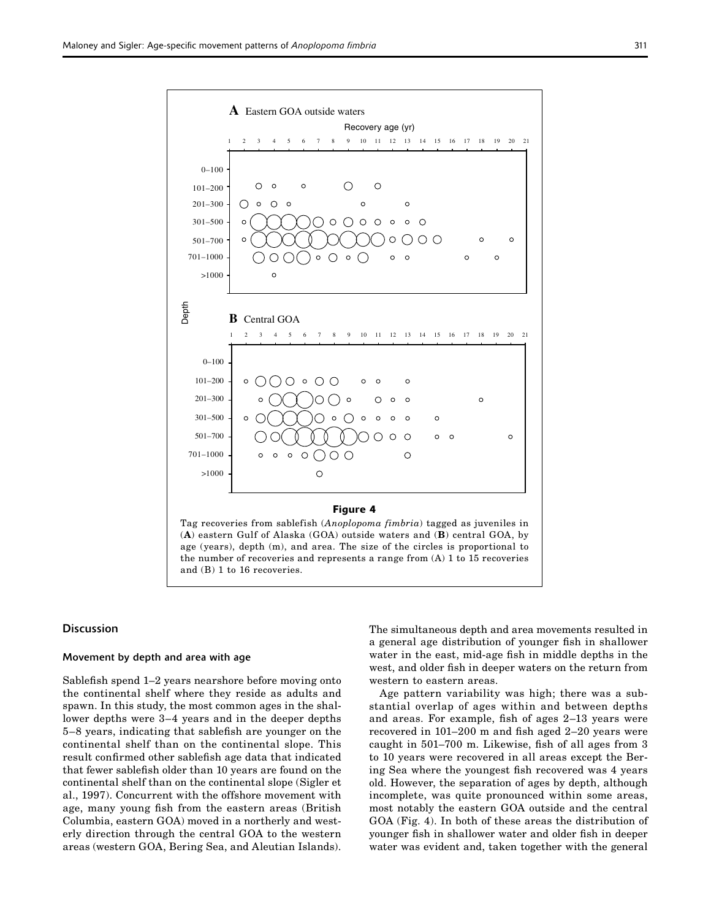

#### **Discussion**

### Movement by depth and area with age

Sablefish spend 1–2 years nearshore before moving onto the continental shelf where they reside as adults and spawn. In this study, the most common ages in the shallower depths were 3–4 years and in the deeper depths 5–8 years, indicating that sablefish are younger on the continental shelf than on the continental slope. This result confirmed other sablefish age data that indicated that fewer sablefish older than 10 years are found on the continental shelf than on the continental slope (Sigler et al., 1997). Concurrent with the offshore movement with age, many young fish from the eastern areas (British Columbia, eastern GOA) moved in a northerly and westerly direction through the central GOA to the western areas (western GOA, Bering Sea, and Aleutian Islands). The simultaneous depth and area movements resulted in a general age distribution of younger fish in shallower water in the east, mid-age fish in middle depths in the west, and older fish in deeper waters on the return from western to eastern areas.

Age pattern variability was high; there was a substantial overlap of ages within and between depths and areas. For example, fish of ages 2–13 years were recovered in 101–200 m and fish aged 2–20 years were caught in 501–700 m. Likewise, fish of all ages from 3 to 10 years were recovered in all areas except the Bering Sea where the youngest fish recovered was 4 years old. However, the separation of ages by depth, although incomplete, was quite pronounced within some areas, most notably the eastern GOA outside and the central GOA (Fig. 4). In both of these areas the distribution of younger fish in shallower water and older fish in deeper water was evident and, taken together with the general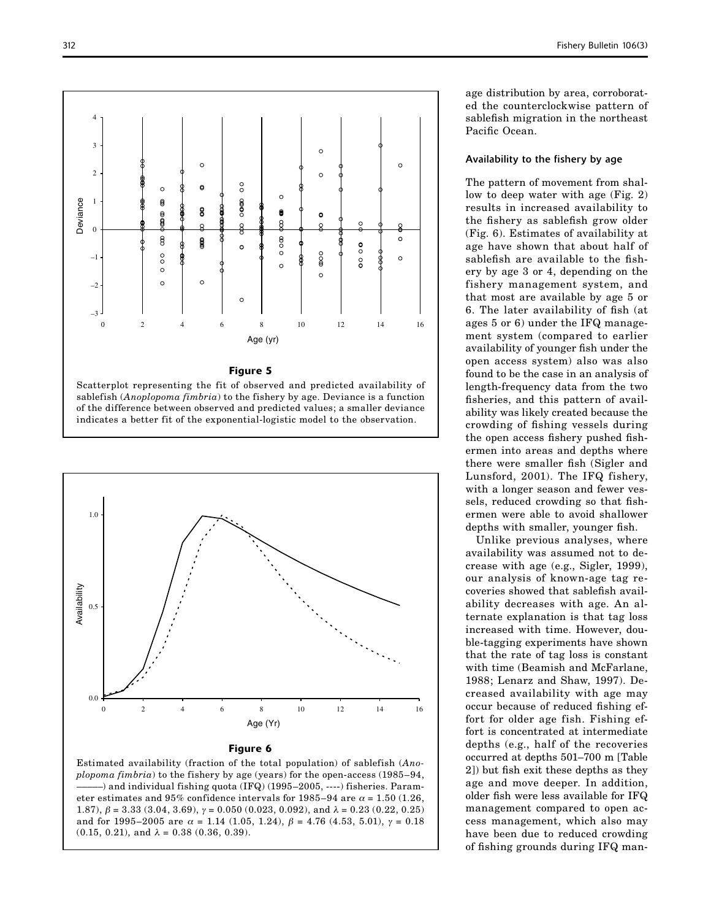



Figure 6

Estimated availability (fraction of the total population) of sablefish (*Anoplopoma fimbria*) to the fishery by age (years) for the open-access (1985–94, –––––) and individual fishing quota (IFQ) (1995–2005, ----) fisheries. Parameter estimates and 95% confidence intervals for 1985–94 are  $\alpha$  = 1.50 (1.26, 1.87),  $\beta = 3.33$  (3.04, 3.69),  $\gamma = 0.050$  (0.023, 0.092), and  $\lambda = 0.23$  (0.22, 0.25) and for 1995–2005 are  $\alpha = 1.14$  (1.05, 1.24),  $\beta = 4.76$  (4.53, 5.01),  $\gamma = 0.18$  $(0.15, 0.21)$ , and  $\lambda = 0.38$   $(0.36, 0.39)$ .

age distribution by area, corroborated the counterclockwise pattern of sablefish migration in the northeast Pacific Ocean.

### Availability to the fishery by age

The pattern of movement from shallow to deep water with age (Fig. 2) results in increased availability to the fishery as sablefish grow older (Fig. 6). Estimates of availability at age have shown that about half of sablefish are available to the fishery by age 3 or 4, depending on the fishery management system, and that most are available by age 5 or 6. The later availability of fish (at ages 5 or 6) under the IFQ management system (compared to earlier availability of younger fish under the open access system) also was also found to be the case in an analysis of length-frequency data from the two fisheries, and this pattern of availability was likely created because the crowding of fishing vessels during the open access fishery pushed fishermen into areas and depths where there were smaller fish (Sigler and Lunsford, 2001). The IFQ fishery, with a longer season and fewer vessels, reduced crowding so that fishermen were able to avoid shallower depths with smaller, younger fish.

Unlike previous analyses, where availability was assumed not to decrease with age (e.g., Sigler, 1999), our analysis of known-age tag recoveries showed that sablefish availability decreases with age. An alternate explanation is that tag loss increased with time. However, double-tagging experiments have shown that the rate of tag loss is constant with time (Beamish and McFarlane, 1988; Lenarz and Shaw, 1997). Decreased availability with age may occur because of reduced fishing effort for older age fish. Fishing effort is concentrated at intermediate depths (e.g., half of the recoveries occurred at depths 501–700 m [Table 2]) but fish exit these depths as they age and move deeper. In addition, older fish were less available for IFQ management compared to open access management, which also may have been due to reduced crowding of fishing grounds during IFQ man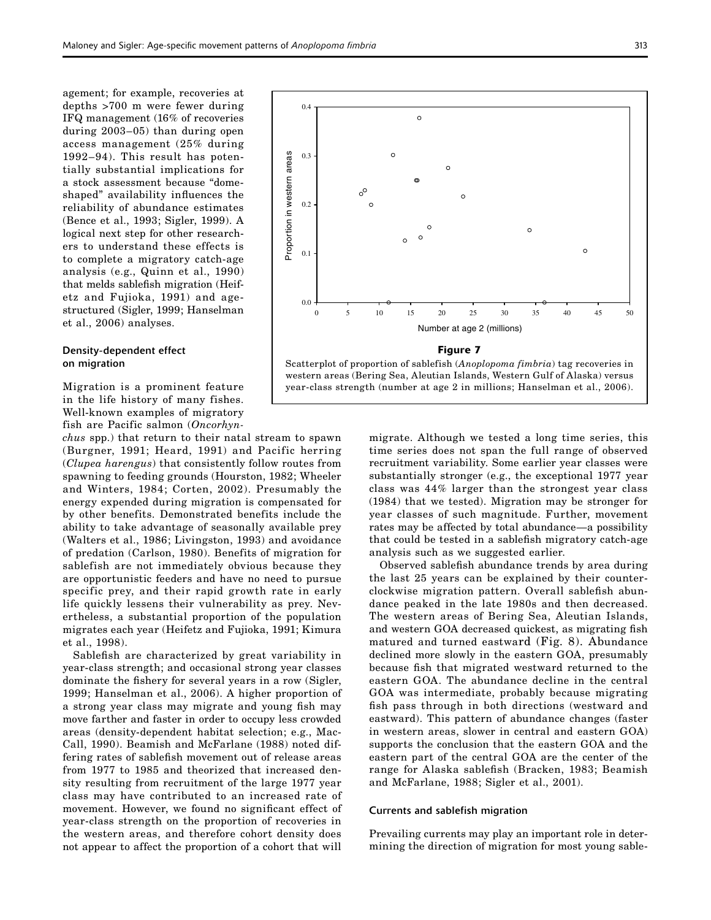agement; for example, recoveries at depths >700 m were fewer during IFQ management (16% of recoveries during 2003–05) than during open access management (25% during 1992–94). This result has potentially substantial implications for a stock assessment because "domeshaped" availability influences the reliability of abundance estimates (Bence et al., 1993; Sigler, 1999). A logical next step for other researchers to understand these effects is to complete a migratory catch-age analysis (e.g., Quinn et al., 1990) that melds sablefish migration (Heifetz and Fujioka, 1991) and agestructured (Sigler, 1999; Hanselman et al., 2006) analyses.

### Density-dependent effect on migration

Migration is a prominent feature in the life history of many fishes. Well-known examples of migratory fish are Pacific salmon (*Oncorhyn-*

*chus* spp.) that return to their natal stream to spawn (Burgner, 1991; Heard, 1991) and Pacific herring (*Clupea harengus*) that consistently follow routes from spawning to feeding grounds (Hourston, 1982; Wheeler and Winters, 1984; Corten, 2002). Presumably the energy expended during migration is compensated for by other benefits. Demonstrated benefits include the ability to take advantage of seasonally available prey (Walters et al., 1986; Livingston, 1993) and avoidance of predation (Carlson, 1980). Benefits of migration for sablefish are not immediately obvious because they are opportunistic feeders and have no need to pursue specific prey, and their rapid growth rate in early life quickly lessens their vulnerability as prey. Nevertheless, a substantial proportion of the population migrates each year (Heifetz and Fujioka, 1991; Kimura et al., 1998).

Sablefish are characterized by great variability in year-class strength; and occasional strong year classes dominate the fishery for several years in a row (Sigler, 1999; Hanselman et al., 2006). A higher proportion of a strong year class may migrate and young fish may move farther and faster in order to occupy less crowded areas (density-dependent habitat selection; e.g., Mac-Call, 1990). Beamish and McFarlane (1988) noted differing rates of sablefish movement out of release areas from 1977 to 1985 and theorized that increased density resulting from recruitment of the large 1977 year class may have contributed to an increased rate of movement. However, we found no significant effect of year-class strength on the proportion of recoveries in the western areas, and therefore cohort density does not appear to affect the proportion of a cohort that will



migrate. Although we tested a long time series, this time series does not span the full range of observed recruitment variability. Some earlier year classes were substantially stronger (e.g., the exceptional 1977 year class was 44% larger than the strongest year class (1984) that we tested). Migration may be stronger for year classes of such magnitude. Further, movement rates may be affected by total abundance—a possibility that could be tested in a sablefish migratory catch-age analysis such as we suggested earlier.

Observed sablefish abundance trends by area during the last 25 years can be explained by their counterclockwise migration pattern. Overall sablefish abundance peaked in the late 1980s and then decreased. The western areas of Bering Sea, Aleutian Islands, and western GOA decreased quickest, as migrating fish matured and turned eastward (Fig. 8). Abundance declined more slowly in the eastern GOA, presumably because fish that migrated westward returned to the eastern GOA. The abundance decline in the central GOA was intermediate, probably because migrating fish pass through in both directions (westward and eastward). This pattern of abundance changes (faster in western areas, slower in central and eastern GOA) supports the conclusion that the eastern GOA and the eastern part of the central GOA are the center of the range for Alaska sablefish (Bracken, 1983; Beamish and McFarlane, 1988; Sigler et al., 2001).

### Currents and sablefish migration

Prevailing currents may play an important role in determining the direction of migration for most young sable-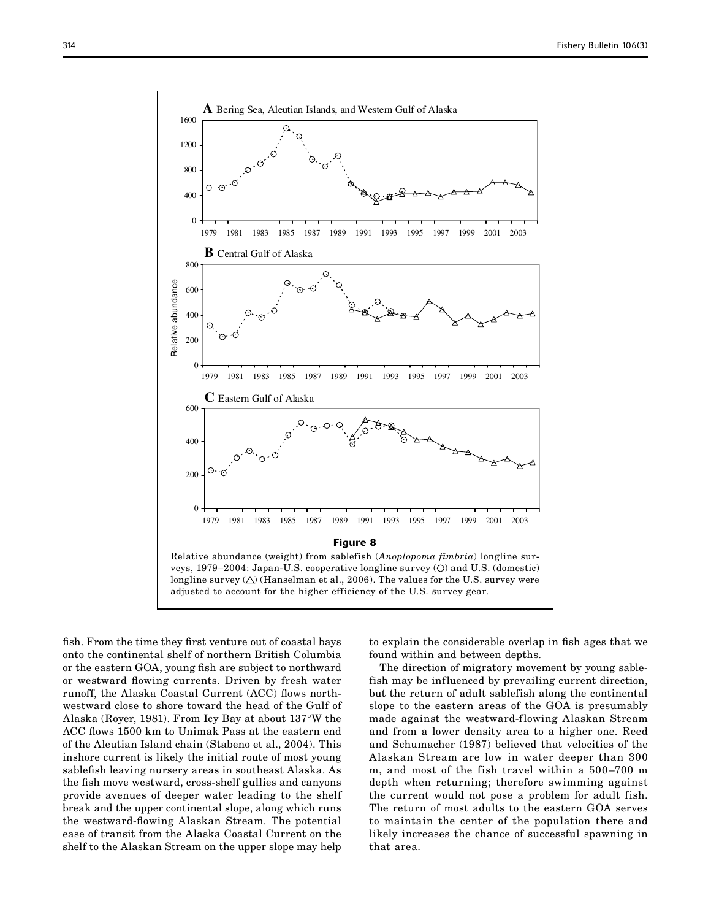

fish. From the time they first venture out of coastal bays onto the continental shelf of northern British Columbia or the eastern GOA, young fish are subject to northward or westward flowing currents. Driven by fresh water runoff, the Alaska Coastal Current (ACC) flows northwestward close to shore toward the head of the Gulf of Alaska (Royer, 1981). From Icy Bay at about 137°W the ACC flows 1500 km to Unimak Pass at the eastern end of the Aleutian Island chain (Stabeno et al., 2004). This inshore current is likely the initial route of most young sablefish leaving nursery areas in southeast Alaska. As the fish move westward, cross-shelf gullies and canyons provide avenues of deeper water leading to the shelf break and the upper continental slope, along which runs the westward-flowing Alaskan Stream. The potential ease of transit from the Alaska Coastal Current on the shelf to the Alaskan Stream on the upper slope may help

to explain the considerable overlap in fish ages that we found within and between depths.

The direction of migratory movement by young sablefish may be influenced by prevailing current direction, but the return of adult sablefish along the continental slope to the eastern areas of the GOA is presumably made against the westward-flowing Alaskan Stream and from a lower density area to a higher one. Reed and Schumacher (1987) believed that velocities of the Alaskan Stream are low in water deeper than 300 m, and most of the fish travel within a 500–700 m depth when returning; therefore swimming against the current would not pose a problem for adult fish. The return of most adults to the eastern GOA serves to maintain the center of the population there and likely increases the chance of successful spawning in that area.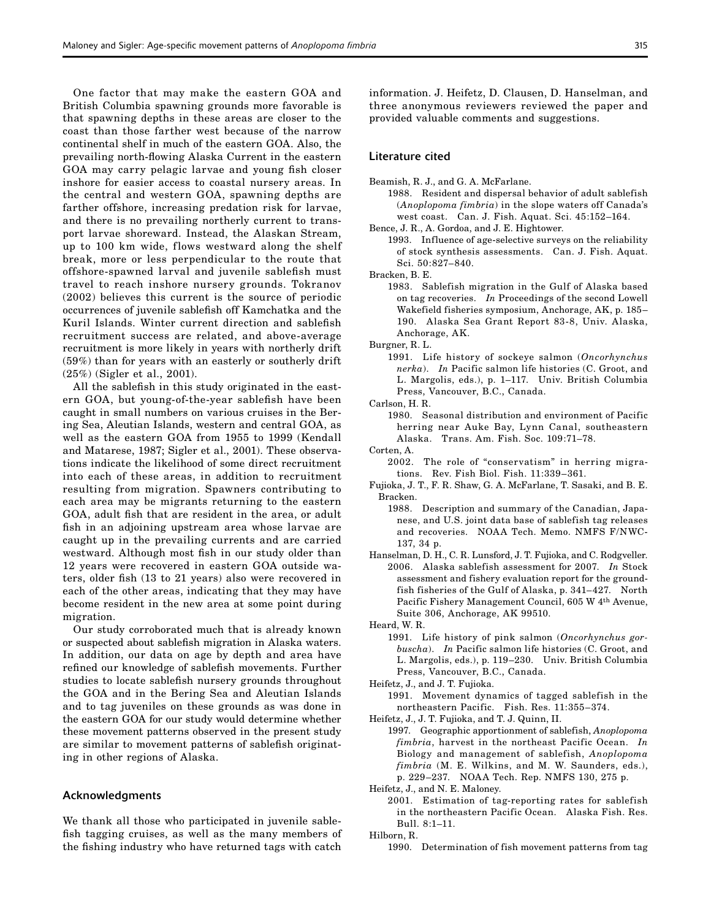One factor that may make the eastern GOA and British Columbia spawning grounds more favorable is that spawning depths in these areas are closer to the coast than those farther west because of the narrow continental shelf in much of the eastern GOA. Also, the prevailing north-flowing Alaska Current in the eastern GOA may carry pelagic larvae and young fish closer inshore for easier access to coastal nursery areas. In the central and western GOA, spawning depths are farther offshore, increasing predation risk for larvae, and there is no prevailing northerly current to transport larvae shoreward. Instead, the Alaskan Stream, up to 100 km wide, flows westward along the shelf break, more or less perpendicular to the route that offshore-spawned larval and juvenile sablefish must travel to reach inshore nursery grounds. Tokranov (2002) believes this current is the source of periodic occurrences of juvenile sablefish off Kamchatka and the Kuril Islands. Winter current direction and sablefish recruitment success are related, and above-average recruitment is more likely in years with northerly drift (59%) than for years with an easterly or southerly drift (25%) (Sigler et al., 2001).

All the sablefish in this study originated in the eastern GOA, but young-of-the-year sablefish have been caught in small numbers on various cruises in the Bering Sea, Aleutian Islands, western and central GOA, as well as the eastern GOA from 1955 to 1999 (Kendall and Matarese, 1987; Sigler et al., 2001). These observations indicate the likelihood of some direct recruitment into each of these areas, in addition to recruitment resulting from migration. Spawners contributing to each area may be migrants returning to the eastern GOA, adult fish that are resident in the area, or adult fish in an adjoining upstream area whose larvae are caught up in the prevailing currents and are carried westward. Although most fish in our study older than 12 years were recovered in eastern GOA outside waters, older fish (13 to 21 years) also were recovered in each of the other areas, indicating that they may have become resident in the new area at some point during migration.

Our study corroborated much that is already known or suspected about sablefish migration in Alaska waters. In addition, our data on age by depth and area have refined our knowledge of sablefish movements. Further studies to locate sablefish nursery grounds throughout the GOA and in the Bering Sea and Aleutian Islands and to tag juveniles on these grounds as was done in the eastern GOA for our study would determine whether these movement patterns observed in the present study are similar to movement patterns of sablefish originating in other regions of Alaska.

#### Acknowledgments

We thank all those who participated in juvenile sablefish tagging cruises, as well as the many members of the fishing industry who have returned tags with catch

information. J. Heifetz, D. Clausen, D. Hanselman, and three anonymous reviewers reviewed the paper and provided valuable comments and suggestions.

### Literature cited

- Beamish, R. J., and G. A. McFarlane.
	- 1988. Resident and dispersal behavior of adult sablefish (*Anoplopoma fimbria*) in the slope waters off Canada's west coast. Can. J. Fish. Aquat. Sci. 45:152–164.

Bence, J. R., A. Gordoa, and J. E. Hightower.

1993. Influence of age-selective surveys on the reliability of stock synthesis assessments. Can. J. Fish. Aquat. Sci. 50:827–840.

Bracken, B. E.

1983. Sablefish migration in the Gulf of Alaska based on tag recoveries. *In* Proceedings of the second Lowell Wakefield fisheries symposium, Anchorage, AK, p. 185– 190. Alaska Sea Grant Report 83-8, Univ. Alaska, Anchorage, AK.

Burgner, R. L.

1991. Life history of sockeye salmon (*Oncorhynchus nerka*). *In* Pacific salmon life histories (C. Groot, and L. Margolis, eds.), p. 1–117. Univ. British Columbia Press, Vancouver, B.C., Canada.

Carlson, H. R.

1980. Seasonal distribution and environment of Pacific herring near Auke Bay, Lynn Canal, southeastern Alaska. Trans. Am. Fish. Soc. 109:71–78.

Corten, A.

- 2002. The role of "conservatism" in herring migrations. Rev. Fish Biol. Fish. 11:339–361.
- Fujioka, J. T., F. R. Shaw, G. A. McFarlane, T. Sasaki, and B. E. Bracken.
	- 1988. Description and summary of the Canadian, Japanese, and U.S. joint data base of sablefish tag releases and recoveries. NOAA Tech. Memo. NMFS F/NWC-137, 34 p.
- Hanselman, D. H., C. R. Lunsford, J. T. Fujioka, and C. Rodgveller. 2006. Alaska sablefish assessment for 2007. *In* Stock assessment and fishery evaluation report for the groundfish fisheries of the Gulf of Alaska, p. 341–427. North Pacific Fishery Management Council, 605 W 4th Avenue, Suite 306, Anchorage, AK 99510.

Heard, W. R.

- 1991. Life history of pink salmon (*Oncorhynchus gorbuscha*). *In* Pacific salmon life histories (C. Groot, and L. Margolis, eds.), p. 119–230. Univ. British Columbia Press, Vancouver, B.C., Canada.
- Heifetz, J., and J. T. Fujioka.
	- 1991. Movement dynamics of tagged sablefish in the northeastern Pacific. Fish. Res. 11:355–374.

Heifetz, J., J. T. Fujioka, and T. J. Quinn, II.

1997. Geographic apportionment of sablefish, *Anoplopoma fimbria*, harvest in the northeast Pacific Ocean. *In* Biology and management of sablefish, *Anoplopoma fimbria* (M. E. Wilkins, and M. W. Saunders, eds.), p. 229–237. NOAA Tech. Rep. NMFS 130, 275 p.

Heifetz, J., and N. E. Maloney.

2001. Estimation of tag-reporting rates for sablefish in the northeastern Pacific Ocean. Alaska Fish. Res. Bull. 8:1–11.

Hilborn, R.

1990. Determination of fish movement patterns from tag